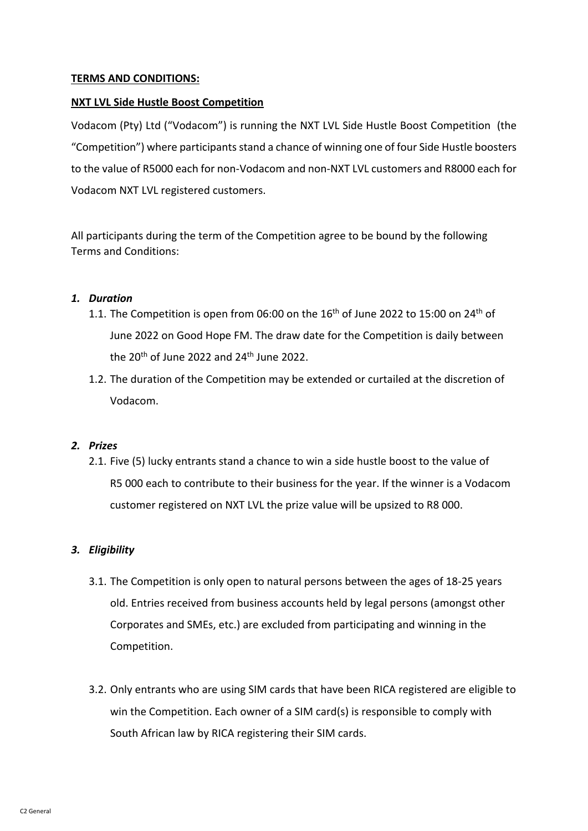## **TERMS AND CONDITIONS:**

## **NXT LVL Side Hustle Boost Competition**

Vodacom (Pty) Ltd ("Vodacom") is running the NXT LVL Side Hustle Boost Competition (the "Competition") where participantsstand a chance of winning one of four Side Hustle boosters to the value of R5000 each for non-Vodacom and non-NXT LVL customers and R8000 each for Vodacom NXT LVL registered customers.

All participants during the term of the Competition agree to be bound by the following Terms and Conditions:

### *1. Duration*

- 1.1. The Competition is open from 06:00 on the  $16<sup>th</sup>$  of June 2022 to 15:00 on 24<sup>th</sup> of June 2022 on Good Hope FM. The draw date for the Competition is daily between the  $20<sup>th</sup>$  of June 2022 and  $24<sup>th</sup>$  June 2022.
- 1.2. The duration of the Competition may be extended or curtailed at the discretion of Vodacom.

# *2. Prizes*

2.1. Five (5) lucky entrants stand a chance to win a side hustle boost to the value of R5 000 each to contribute to their business for the year. If the winner is a Vodacom customer registered on NXT LVL the prize value will be upsized to R8 000.

# *3. Eligibility*

- 3.1. The Competition is only open to natural persons between the ages of 18-25 years old. Entries received from business accounts held by legal persons (amongst other Corporates and SMEs, etc.) are excluded from participating and winning in the Competition.
- 3.2. Only entrants who are using SIM cards that have been RICA registered are eligible to win the Competition. Each owner of a SIM card(s) is responsible to comply with South African law by RICA registering their SIM cards.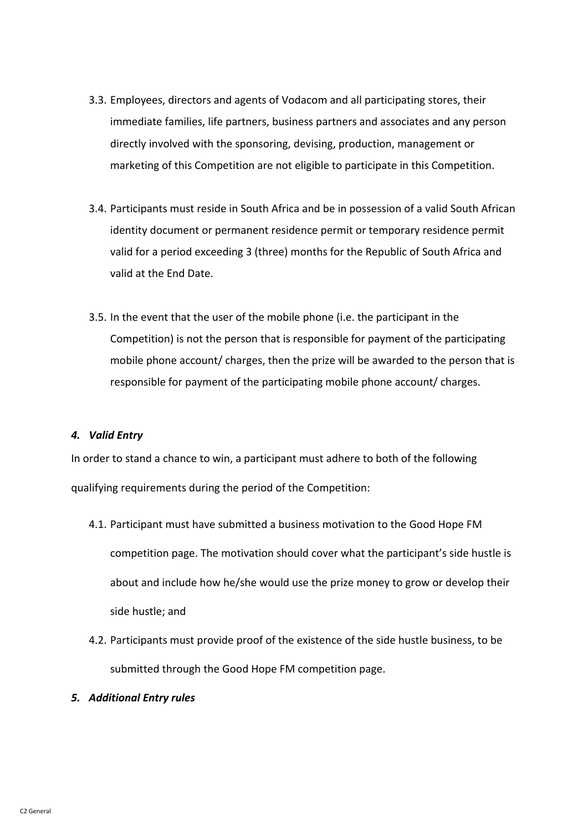- 3.3. Employees, directors and agents of Vodacom and all participating stores, their immediate families, life partners, business partners and associates and any person directly involved with the sponsoring, devising, production, management or marketing of this Competition are not eligible to participate in this Competition.
- 3.4. Participants must reside in South Africa and be in possession of a valid South African identity document or permanent residence permit or temporary residence permit valid for a period exceeding 3 (three) months for the Republic of South Africa and valid at the End Date.
- 3.5. In the event that the user of the mobile phone (i.e. the participant in the Competition) is not the person that is responsible for payment of the participating mobile phone account/ charges, then the prize will be awarded to the person that is responsible for payment of the participating mobile phone account/ charges.

### *4. Valid Entry*

In order to stand a chance to win, a participant must adhere to both of the following qualifying requirements during the period of the Competition:

- 4.1. Participant must have submitted a business motivation to the Good Hope FM competition page. The motivation should cover what the participant's side hustle is about and include how he/she would use the prize money to grow or develop their side hustle; and
- 4.2. Participants must provide proof of the existence of the side hustle business, to be submitted through the Good Hope FM competition page.
- *5. Additional Entry rules*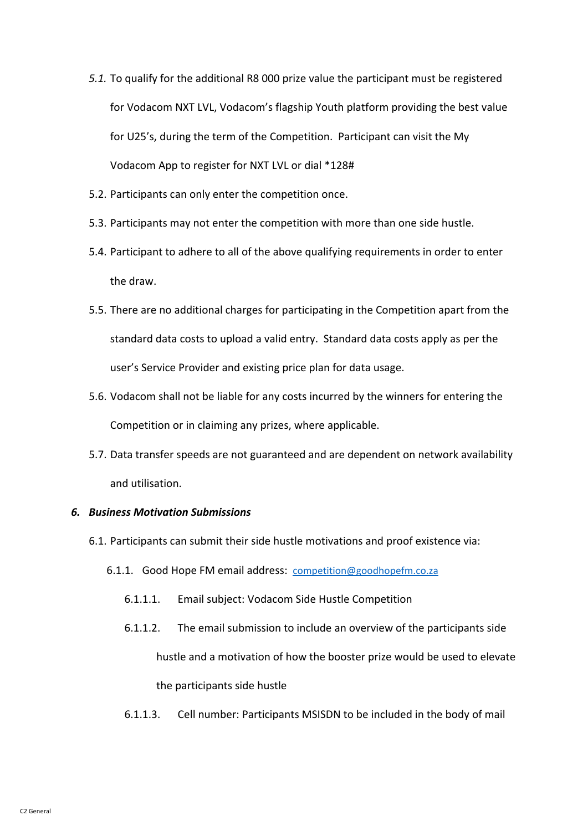- *5.1.* To qualify for the additional R8 000 prize value the participant must be registered for Vodacom NXT LVL, Vodacom's flagship Youth platform providing the best value for U25's, during the term of the Competition. Participant can visit the My Vodacom App to register for NXT LVL or dial \*128#
- 5.2. Participants can only enter the competition once.
- 5.3. Participants may not enter the competition with more than one side hustle.
- 5.4. Participant to adhere to all of the above qualifying requirements in order to enter the draw.
- 5.5. There are no additional charges for participating in the Competition apart from the standard data costs to upload a valid entry. Standard data costs apply as per the user's Service Provider and existing price plan for data usage.
- 5.6. Vodacom shall not be liable for any costs incurred by the winners for entering the Competition or in claiming any prizes, where applicable.
- 5.7. Data transfer speeds are not guaranteed and are dependent on network availability and utilisation.

### *6. Business Motivation Submissions*

- 6.1. Participants can submit their side hustle motivations and proof existence via:
	- 6.1.1. Good Hope FM email address: [competition@goodhopefm.co.za](mailto:competition@goodhopefm.co.za)
		- 6.1.1.1. Email subject: Vodacom Side Hustle Competition
		- 6.1.1.2. The email submission to include an overview of the participants side hustle and a motivation of how the booster prize would be used to elevate the participants side hustle
		- 6.1.1.3. Cell number: Participants MSISDN to be included in the body of mail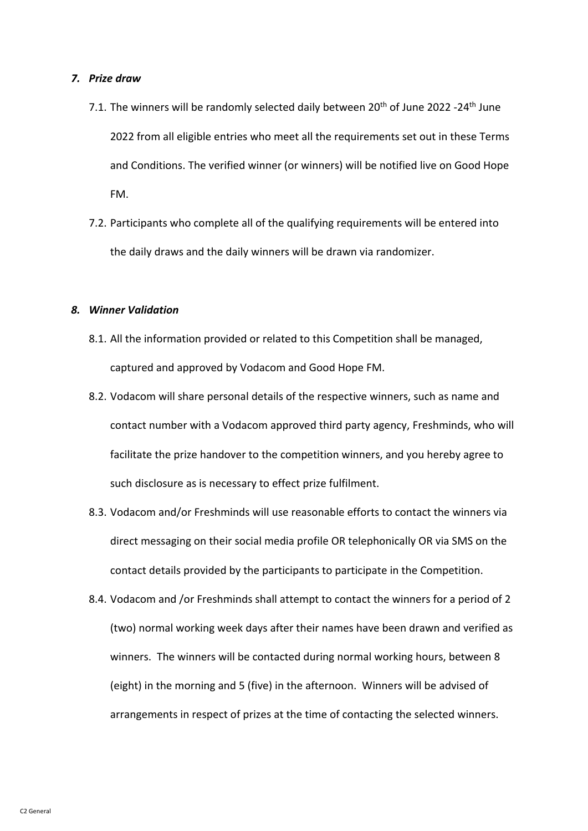#### *7. Prize draw*

- 7.1. The winners will be randomly selected daily between 20<sup>th</sup> of June 2022 -24<sup>th</sup> June 2022 from all eligible entries who meet all the requirements set out in these Terms and Conditions. The verified winner (or winners) will be notified live on Good Hope FM.
- 7.2. Participants who complete all of the qualifying requirements will be entered into the daily draws and the daily winners will be drawn via randomizer.

### *8. Winner Validation*

- 8.1. All the information provided or related to this Competition shall be managed, captured and approved by Vodacom and Good Hope FM.
- 8.2. Vodacom will share personal details of the respective winners, such as name and contact number with a Vodacom approved third party agency, Freshminds, who will facilitate the prize handover to the competition winners, and you hereby agree to such disclosure as is necessary to effect prize fulfilment.
- 8.3. Vodacom and/or Freshminds will use reasonable efforts to contact the winners via direct messaging on their social media profile OR telephonically OR via SMS on the contact details provided by the participants to participate in the Competition.
- 8.4. Vodacom and /or Freshminds shall attempt to contact the winners for a period of 2 (two) normal working week days after their names have been drawn and verified as winners. The winners will be contacted during normal working hours, between 8 (eight) in the morning and 5 (five) in the afternoon. Winners will be advised of arrangements in respect of prizes at the time of contacting the selected winners.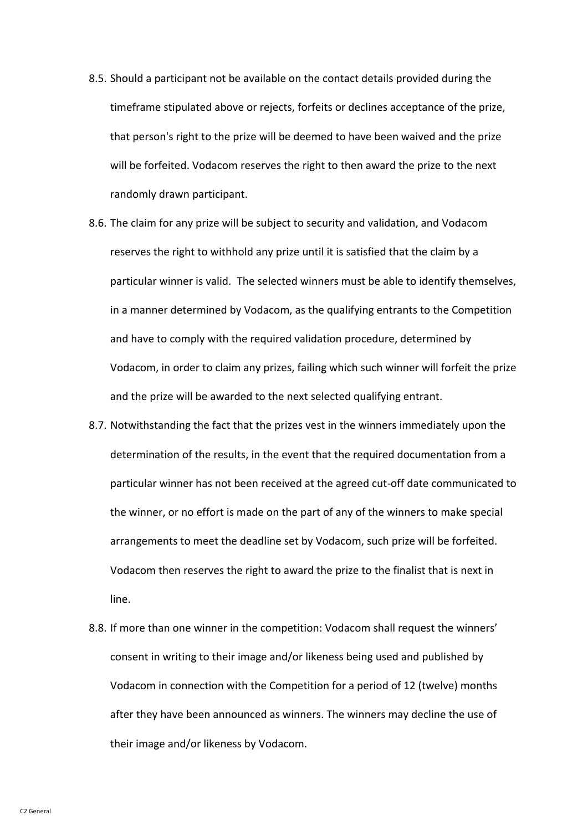- 8.5. Should a participant not be available on the contact details provided during the timeframe stipulated above or rejects, forfeits or declines acceptance of the prize, that person's right to the prize will be deemed to have been waived and the prize will be forfeited. Vodacom reserves the right to then award the prize to the next randomly drawn participant.
- 8.6. The claim for any prize will be subject to security and validation, and Vodacom reserves the right to withhold any prize until it is satisfied that the claim by a particular winner is valid. The selected winners must be able to identify themselves, in a manner determined by Vodacom, as the qualifying entrants to the Competition and have to comply with the required validation procedure, determined by Vodacom, in order to claim any prizes, failing which such winner will forfeit the prize and the prize will be awarded to the next selected qualifying entrant.
- 8.7. Notwithstanding the fact that the prizes vest in the winners immediately upon the determination of the results, in the event that the required documentation from a particular winner has not been received at the agreed cut-off date communicated to the winner, or no effort is made on the part of any of the winners to make special arrangements to meet the deadline set by Vodacom, such prize will be forfeited. Vodacom then reserves the right to award the prize to the finalist that is next in line.
- 8.8. If more than one winner in the competition: Vodacom shall request the winners' consent in writing to their image and/or likeness being used and published by Vodacom in connection with the Competition for a period of 12 (twelve) months after they have been announced as winners. The winners may decline the use of their image and/or likeness by Vodacom.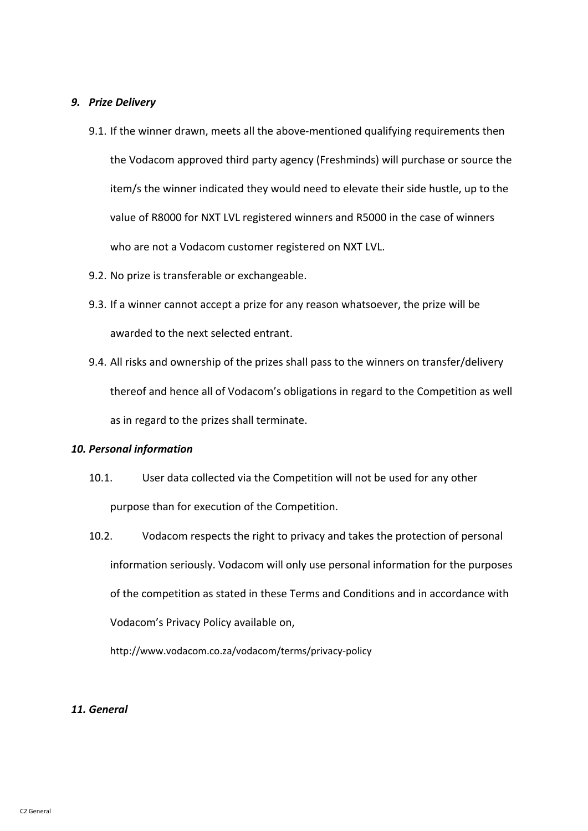### *9. Prize Delivery*

- 9.1. If the winner drawn, meets all the above-mentioned qualifying requirements then the Vodacom approved third party agency (Freshminds) will purchase or source the item/s the winner indicated they would need to elevate their side hustle, up to the value of R8000 for NXT LVL registered winners and R5000 in the case of winners who are not a Vodacom customer registered on NXT LVL.
- 9.2. No prize is transferable or exchangeable.
- 9.3. If a winner cannot accept a prize for any reason whatsoever, the prize will be awarded to the next selected entrant.
- 9.4. All risks and ownership of the prizes shall pass to the winners on transfer/delivery thereof and hence all of Vodacom's obligations in regard to the Competition as well as in regard to the prizes shall terminate.

#### *10. Personal information*

- 10.1. User data collected via the Competition will not be used for any other purpose than for execution of the Competition.
- 10.2. Vodacom respects the right to privacy and takes the protection of personal information seriously. Vodacom will only use personal information for the purposes of the competition as stated in these Terms and Conditions and in accordance with Vodacom's Privacy Policy available on,

<http://www.vodacom.co.za/vodacom/terms/privacy-policy>

#### *11. General*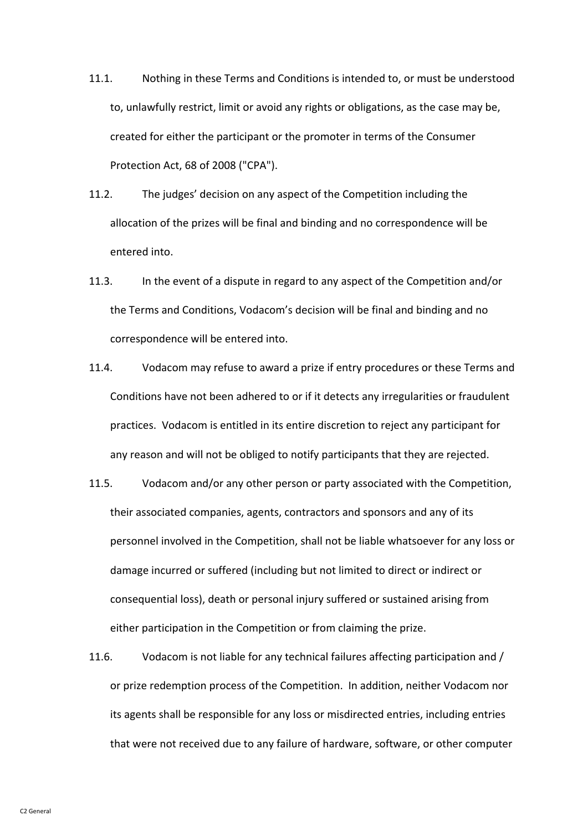- 11.1. Nothing in these Terms and Conditions is intended to, or must be understood to, unlawfully restrict, limit or avoid any rights or obligations, as the case may be, created for either the participant or the promoter in terms of the Consumer Protection Act, 68 of 2008 ("CPA").
- 11.2. The judges' decision on any aspect of the Competition including the allocation of the prizes will be final and binding and no correspondence will be entered into.
- 11.3. In the event of a dispute in regard to any aspect of the Competition and/or the Terms and Conditions, Vodacom's decision will be final and binding and no correspondence will be entered into.
- 11.4. Vodacom may refuse to award a prize if entry procedures or these Terms and Conditions have not been adhered to or if it detects any irregularities or fraudulent practices. Vodacom is entitled in its entire discretion to reject any participant for any reason and will not be obliged to notify participants that they are rejected.
- 11.5. Vodacom and/or any other person or party associated with the Competition, their associated companies, agents, contractors and sponsors and any of its personnel involved in the Competition, shall not be liable whatsoever for any loss or damage incurred or suffered (including but not limited to direct or indirect or consequential loss), death or personal injury suffered or sustained arising from either participation in the Competition or from claiming the prize.
- 11.6. Vodacom is not liable for any technical failures affecting participation and / or prize redemption process of the Competition. In addition, neither Vodacom nor its agents shall be responsible for any loss or misdirected entries, including entries that were not received due to any failure of hardware, software, or other computer